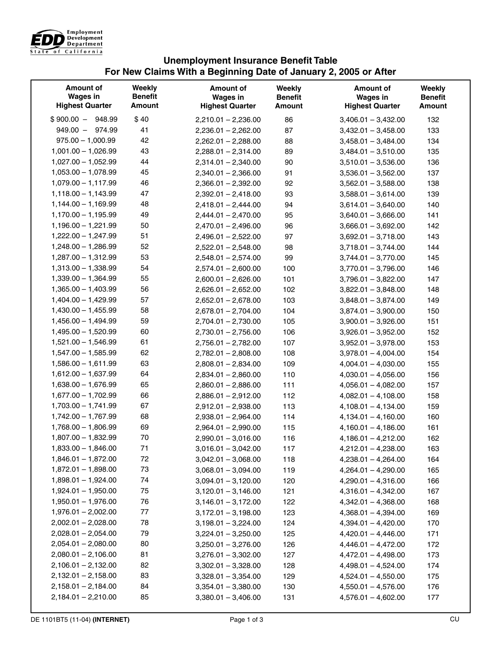

## **Unemployment Insurance Benefit Table For New Claims With a Beginning Date of January 2, 2005 or After**

| \$40<br>$$900.00 - 948.99$<br>86<br>$2,210.01 - 2,236.00$<br>$3,406.01 - 3,432.00$          | <b>Amount</b> |
|---------------------------------------------------------------------------------------------|---------------|
|                                                                                             | 132           |
| $949.00 - 974.99$<br>41<br>87<br>$2,236.01 - 2,262.00$<br>$3,432.01 - 3,458.00$             | 133           |
| $975.00 - 1,000.99$<br>42<br>88<br>$2,262.01 - 2,288.00$<br>$3,458.01 - 3,484.00$           | 134           |
| 43<br>$1,001.00 - 1,026.99$<br>89<br>$2,288.01 - 2,314.00$<br>$3,484.01 - 3,510.00$         | 135           |
| 44<br>$1,027.00 - 1,052.99$<br>90<br>$2,314.01 - 2,340.00$<br>$3,510.01 - 3,536.00$         | 136           |
| 45<br>$1,053.00 - 1,078.99$<br>91<br>$2,340.01 - 2,366.00$<br>$3,536.01 - 3,562.00$         | 137           |
| 46<br>$1,079.00 - 1,117.99$<br>92<br>$2,366.01 - 2,392.00$<br>$3,562.01 - 3,588.00$         | 138           |
| 47<br>$1,118.00 - 1,143.99$<br>93<br>$2,392.01 - 2,418.00$<br>$3,588.01 - 3,614.00$         | 139           |
| 48<br>$1,144.00 - 1,169.99$<br>94<br>$3,614.01 - 3,640.00$<br>$2,418.01 - 2,444.00$         | 140           |
| 49<br>$1,170.00 - 1,195.99$<br>95<br>$2,444.01 - 2,470.00$<br>$3,640.01 - 3,666.00$         | 141           |
| $1,196.00 - 1,221.99$<br>50<br>96<br>$2,470.01 - 2,496.00$<br>$3,666.01 - 3,692.00$         | 142           |
| 51<br>$1,222.00 - 1,247.99$<br>97<br>$2,496.01 - 2,522.00$<br>$3,692.01 - 3,718.00$         | 143           |
| 52<br>$1,248.00 - 1,286.99$<br>98<br>$2,522.01 - 2,548.00$<br>$3,718.01 - 3,744.00$         | 144           |
| 53<br>$1,287.00 - 1,312.99$<br>99<br>$2,548.01 - 2,574.00$<br>$3,744.01 - 3,770.00$         | 145           |
| 54<br>$1,313.00 - 1,338.99$<br>100<br>$2,574.01 - 2,600.00$<br>$3,770.01 - 3,796.00$        | 146           |
| 55<br>$1,339.00 - 1,364.99$<br>101<br>$2,600.01 - 2,626.00$<br>$3,796.01 - 3,822.00$        | 147           |
| $1,365.00 - 1,403.99$<br>56<br>102<br>$2,626.01 - 2,652.00$<br>$3,822.01 - 3,848.00$        | 148           |
| 57<br>$1,404.00 - 1,429.99$<br>103<br>$2,652.01 - 2,678.00$<br>$3,848.01 - 3,874.00$        | 149           |
| 58<br>$1,430.00 - 1,455.99$<br>104<br>$2,678.01 - 2,704.00$<br>$3,874.01 - 3,900.00$        | 150           |
| 59<br>$1,456.00 - 1,494.99$<br>105<br>$2,704.01 - 2,730.00$<br>$3,900.01 - 3,926.00$        | 151           |
| 60<br>$1,495.00 - 1,520.99$<br>106<br>$3,926.01 - 3,952.00$<br>$2,730.01 - 2,756.00$        | 152           |
| $1,521.00 - 1,546.99$<br>61<br>107<br>$2,756.01 - 2,782.00$<br>$3,952.01 - 3,978.00$        | 153           |
| 62<br>$1,547.00 - 1,585.99$<br>108<br>$3,978.01 - 4,004.00$<br>$2,782.01 - 2,808.00$        | 154           |
| 63<br>$1,586.00 - 1,611.99$<br>109<br>$2,808.01 - 2,834.00$<br>$4,004.01 - 4,030.00$        | 155           |
| 64<br>$1,612.00 - 1,637.99$<br>110<br>$2,834.01 - 2,860.00$<br>$4,030.01 - 4,056.00$        | 156           |
| 65<br>$1,638.00 - 1,676.99$<br>111<br>$2,860.01 - 2,886.00$<br>$4,056.01 - 4,082.00$        | 157           |
| 66<br>$1,677.00 - 1,702.99$<br>112<br>$4,082.01 - 4,108.00$<br>$2,886.01 - 2,912.00$        | 158           |
| $1,703.00 - 1,741.99$<br>67<br>113<br>$2,912.01 - 2,938.00$<br>$4,108.01 - 4,134.00$        | 159           |
| $1,742.00 - 1,767.99$<br>68<br>114<br>$4,134.01 - 4,160.00$<br>$2,938.01 - 2,964.00$        | 160           |
| $1,768.00 - 1,806.99$<br>69<br>115<br>$2,964.01 - 2,990.00$<br>$4,160.01 - 4,186.00$        | 161           |
| 70<br>$1,807.00 - 1,832.99$<br>116<br>$2,990.01 - 3,016.00$<br>$4,186.01 - 4,212.00$        | 162           |
| $1,833.00 - 1,846.00$<br>71<br>117<br>$3,016.01 - 3,042.00$<br>$4,212.01 - 4,238.00$        | 163           |
| $1,846.01 - 1,872.00$<br>72<br>118<br>$3,042.01 - 3,068.00$<br>$4,238.01 - 4,264.00$        | 164           |
| $1,872.01 - 1,898.00$<br>73<br>$3,068.01 - 3,094.00$<br>119<br>$4,264.01 - 4,290.00$        | 165           |
| $1,898.01 - 1,924.00$<br>74<br>$4,290.01 - 4,316.00$<br>$3,094.01 - 3,120.00$<br>120        | 166           |
| $1,924.01 - 1,950.00$<br>75<br>121<br>$4,316.01 - 4,342.00$<br>$3,120.01 - 3,146.00$        | 167           |
| 76<br>$1,950.01 - 1,976.00$<br>$3,146.01 - 3,172.00$<br>122<br>$4,342.01 - 4,368.00$        | 168           |
| $1,976.01 - 2,002.00$<br>77<br>$4,368.01 - 4,394.00$<br>$3,172.01 - 3,198.00$<br>123        | 169           |
| $2,002.01 - 2,028.00$<br>78<br>$3,198.01 - 3,224.00$<br>124<br>$4,394.01 - 4,420.00$        | 170           |
| $2,028.01 - 2,054.00$<br>79<br>$3,224.01 - 3,250.00$<br>125<br>$4,420.01 - 4,446.00$<br>171 |               |
|                                                                                             | 172           |
| 80<br>$2,054.01 - 2,080.00$<br>$3,250.01 - 3,276.00$<br>126<br>$4,446.01 - 4,472.00$        |               |
| $2,080.01 - 2,106.00$<br>81<br>$3,276.01 - 3,302.00$<br>127<br>$4,472.01 - 4,498.00$        | 173           |
| $2,106.01 - 2,132.00$<br>82<br>$3,302.01 - 3,328.00$<br>$4,498.01 - 4,524.00$<br>128        | 174           |
| $2,132.01 - 2,158.00$<br>83<br>$3,328.01 - 3,354.00$<br>129<br>$4,524.01 - 4,550.00$        | 175           |
| $2,158.01 - 2,184.00$<br>84<br>$4,550.01 - 4,576.00$<br>$3,354.01 - 3,380.00$<br>130        | 176           |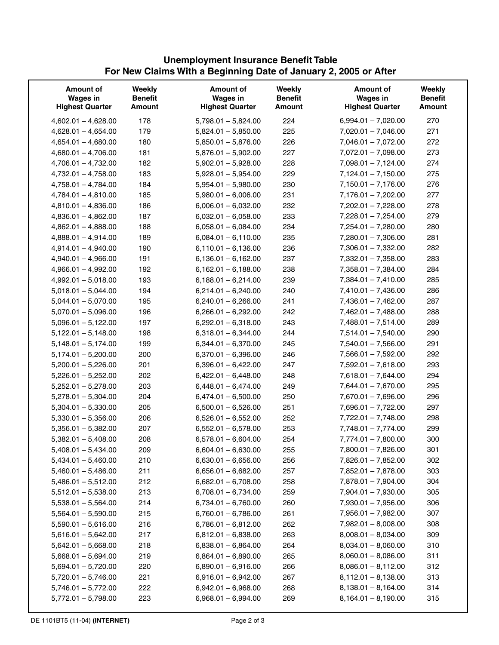## **Unemployment Insurance Benefit Table For New Claims With a Beginning Date of January 2, 2005 or After**

| <b>Amount of</b><br><b>Wages in</b><br><b>Highest Quarter</b> | Weekly<br><b>Benefit</b><br><b>Amount</b> | <b>Amount of</b><br><b>Wages in</b><br><b>Highest Quarter</b> | Weekly<br><b>Benefit</b><br><b>Amount</b> | <b>Amount of</b><br><b>Wages in</b><br><b>Highest Quarter</b> | Weekly<br><b>Benefit</b><br><b>Amount</b> |
|---------------------------------------------------------------|-------------------------------------------|---------------------------------------------------------------|-------------------------------------------|---------------------------------------------------------------|-------------------------------------------|
|                                                               |                                           |                                                               |                                           |                                                               |                                           |
| $4,602.01 - 4,628.00$                                         | 178                                       | $5,798.01 - 5,824.00$                                         | 224                                       | $6,994.01 - 7,020.00$                                         | 270                                       |
| $4,628.01 - 4,654.00$                                         | 179                                       | $5,824.01 - 5,850.00$                                         | 225                                       | $7,020.01 - 7,046.00$                                         | 271                                       |
| $4,654.01 - 4,680.00$                                         | 180                                       | $5,850.01 - 5,876.00$                                         | 226                                       | $7,046.01 - 7,072.00$                                         | 272                                       |
| $4,680.01 - 4,706.00$                                         | 181                                       | $5,876.01 - 5,902.00$                                         | 227                                       | 7,072.01 - 7,098.00                                           | 273                                       |
| $4,706.01 - 4,732.00$                                         | 182                                       | $5,902.01 - 5,928.00$                                         | 228                                       | $7,098.01 - 7,124.00$                                         | 274                                       |
| $4,732.01 - 4,758.00$                                         | 183                                       | $5,928.01 - 5,954.00$                                         | 229                                       | $7,124.01 - 7,150.00$                                         | 275                                       |
| $4,758.01 - 4,784.00$                                         | 184                                       | $5,954.01 - 5,980.00$                                         | 230                                       | $7,150.01 - 7,176.00$                                         | 276                                       |
| $4,784.01 - 4,810.00$                                         | 185                                       | $5,980.01 - 6,006.00$                                         | 231                                       | $7,176.01 - 7,202.00$                                         | 277                                       |
| $4,810.01 - 4,836.00$                                         | 186                                       | $6,006.01 - 6,032.00$                                         | 232                                       | 7,202.01 - 7,228.00                                           | 278                                       |
| $4,836.01 - 4,862.00$                                         | 187                                       | $6,032.01 - 6,058.00$                                         | 233                                       | $7,228.01 - 7,254.00$                                         | 279                                       |
| $4,862.01 - 4,888.00$                                         | 188                                       | $6,058.01 - 6,084.00$                                         | 234                                       | $7,254.01 - 7,280.00$                                         | 280                                       |
| $4,888.01 - 4,914.00$                                         | 189                                       | $6,084.01 - 6,110.00$                                         | 235                                       | $7,280.01 - 7,306.00$                                         | 281                                       |
| $4,914.01 - 4,940.00$                                         | 190                                       | $6,110.01 - 6,136.00$                                         | 236                                       | $7,306.01 - 7,332.00$                                         | 282                                       |
| $4,940.01 - 4,966.00$                                         | 191                                       | $6,136.01 - 6,162.00$                                         | 237                                       | $7,332.01 - 7,358.00$                                         | 283                                       |
| $4,966.01 - 4,992.00$                                         | 192                                       | $6,162.01 - 6,188.00$                                         | 238                                       | $7,358.01 - 7,384.00$                                         | 284                                       |
| $4,992.01 - 5,018.00$                                         | 193                                       | $6,188.01 - 6,214.00$                                         | 239                                       | $7,384.01 - 7,410.00$                                         | 285                                       |
| $5,018.01 - 5,044.00$                                         | 194                                       | $6,214.01 - 6,240.00$                                         | 240                                       | $7,410.01 - 7,436.00$                                         | 286                                       |
| $5,044.01 - 5,070.00$                                         | 195                                       | $6,240.01 - 6,266.00$                                         | 241                                       | $7,436.01 - 7,462.00$                                         | 287                                       |
| $5,070.01 - 5,096.00$                                         | 196                                       | $6,266.01 - 6,292.00$                                         | 242                                       | $7,462.01 - 7,488.00$                                         | 288                                       |
| $5,096.01 - 5,122.00$                                         | 197                                       | $6,292.01 - 6,318.00$                                         | 243                                       | $7,488.01 - 7,514.00$                                         | 289                                       |
| $5,122.01 - 5,148.00$                                         | 198                                       | $6,318.01 - 6,344.00$                                         | 244                                       | $7,514.01 - 7,540.00$                                         | 290                                       |
| $5,148.01 - 5,174.00$                                         | 199                                       | $6,344.01 - 6,370.00$                                         | 245                                       | $7,540.01 - 7,566.00$                                         | 291                                       |
| $5,174.01 - 5,200.00$                                         | 200                                       | $6,370.01 - 6,396.00$                                         | 246                                       | $7,566.01 - 7,592.00$                                         | 292                                       |
| $5,200.01 - 5,226.00$                                         | 201                                       | $6,396.01 - 6,422.00$                                         | 247                                       | $7,592.01 - 7,618.00$                                         | 293                                       |
| $5,226.01 - 5,252.00$                                         | 202                                       | $6,422.01 - 6,448.00$                                         | 248                                       | $7,618.01 - 7,644.00$                                         | 294                                       |
| $5,252.01 - 5,278.00$                                         | 203                                       | $6,448.01 - 6,474.00$                                         | 249                                       | $7,644.01 - 7,670.00$                                         | 295                                       |
| $5,278.01 - 5,304.00$                                         | 204                                       | $6,474.01 - 6,500.00$                                         | 250                                       | 7,670.01 - 7,696.00                                           | 296                                       |
| $5,304.01 - 5,330.00$                                         | 205                                       | $6,500.01 - 6,526.00$                                         | 251                                       | $7,696.01 - 7,722.00$                                         | 297                                       |
| $5,330.01 - 5,356.00$                                         | 206                                       | $6,526.01 - 6,552.00$                                         | 252                                       | $7,722.01 - 7,748.00$                                         | 298                                       |
| $5,356.01 - 5,382.00$                                         | 207                                       | $6,552.01 - 6,578.00$                                         | 253                                       | $7,748.01 - 7,774.00$                                         | 299                                       |
| $5,382.01 - 5,408.00$                                         | 208                                       | $6,578.01 - 6,604.00$                                         | 254                                       | $7,774.01 - 7,800.00$                                         | 300                                       |
| $5,408.01 - 5,434.00$                                         | 209                                       | $6,604.01 - 6,630.00$                                         | 255                                       | 7,800.01 - 7,826.00                                           | 301                                       |
| $5,434.01 - 5,460.00$                                         | 210                                       | $6,630.01 - 6,656.00$                                         | 256                                       | $7,826.01 - 7,852.00$                                         | 302                                       |
| $5,460.01 - 5,486.00$                                         | 211                                       | $6,656.01 - 6,682.00$                                         | 257                                       | $7,852.01 - 7,878.00$                                         | 303                                       |
| $5,486.01 - 5,512.00$                                         | 212                                       | $6,682.01 - 6,708.00$                                         | 258                                       | 7,878.01 - 7,904.00                                           | 304                                       |
| $5,512.01 - 5,538.00$                                         | 213                                       | $6,708.01 - 6,734.00$                                         | 259                                       | $7,904.01 - 7,930.00$                                         | 305                                       |
| $5,538.01 - 5,564.00$                                         | 214                                       | $6,734.01 - 6,760.00$                                         | 260                                       | $7,930.01 - 7,956.00$                                         | 306                                       |
| $5,564.01 - 5,590.00$                                         | 215                                       | $6,760.01 - 6,786.00$                                         | 261                                       | $7,956.01 - 7,982.00$                                         | 307                                       |
| $5,590.01 - 5,616.00$                                         | 216                                       | $6,786.01 - 6,812.00$                                         | 262                                       | $7,982.01 - 8,008.00$                                         | 308                                       |
| $5,616.01 - 5,642.00$                                         | 217                                       | $6,812.01 - 6,838.00$                                         | 263                                       | $8,008.01 - 8,034.00$                                         | 309                                       |
| $5,642.01 - 5,668.00$                                         | 218                                       | $6,838.01 - 6,864.00$                                         | 264                                       | $8,034.01 - 8,060.00$                                         | 310                                       |
| $5,668.01 - 5,694.00$                                         | 219                                       | $6,864.01 - 6,890.00$                                         | 265                                       | $8,060.01 - 8,086.00$                                         | 311                                       |
| $5,694.01 - 5,720.00$                                         | 220                                       | $6,890.01 - 6,916.00$                                         | 266                                       | $8,086.01 - 8,112.00$                                         | 312                                       |
| $5,720.01 - 5,746.00$                                         | 221                                       | $6,916.01 - 6,942.00$                                         | 267                                       | $8,112.01 - 8,138.00$                                         | 313                                       |
| $5,746.01 - 5,772.00$                                         | 222                                       | $6,942.01 - 6,968.00$                                         | 268                                       | $8,138.01 - 8,164.00$                                         | 314                                       |
|                                                               | 223                                       | $6,968.01 - 6,994.00$                                         | 269                                       |                                                               | 315                                       |
| $5,772.01 - 5,798.00$                                         |                                           |                                                               |                                           | $8,164.01 - 8,190.00$                                         |                                           |